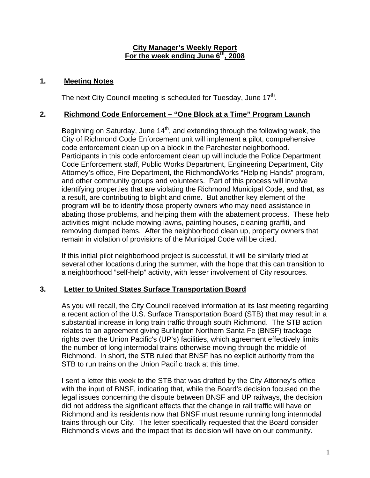#### **City Manager's Weekly Report** For the week ending June 6<sup>th</sup>, 2008

#### **1. Meeting Notes**

The next City Council meeting is scheduled for Tuesday, June 17<sup>th</sup>.

#### **2. Richmond Code Enforcement – "One Block at a Time" Program Launch**

Beginning on Saturday, June  $14<sup>th</sup>$ , and extending through the following week, the City of Richmond Code Enforcement unit will implement a pilot, comprehensive code enforcement clean up on a block in the Parchester neighborhood. Participants in this code enforcement clean up will include the Police Department Code Enforcement staff, Public Works Department, Engineering Department, City Attorney's office, Fire Department, the RichmondWorks "Helping Hands" program, and other community groups and volunteers. Part of this process will involve identifying properties that are violating the Richmond Municipal Code, and that, as a result, are contributing to blight and crime. But another key element of the program will be to identify those property owners who may need assistance in abating those problems, and helping them with the abatement process. These help activities might include mowing lawns, painting houses, cleaning graffiti, and removing dumped items. After the neighborhood clean up, property owners that remain in violation of provisions of the Municipal Code will be cited.

If this initial pilot neighborhood project is successful, it will be similarly tried at several other locations during the summer, with the hope that this can transition to a neighborhood "self-help" activity, with lesser involvement of City resources.

# **3. Letter to United States Surface Transportation Board**

As you will recall, the City Council received information at its last meeting regarding a recent action of the U.S. Surface Transportation Board (STB) that may result in a substantial increase in long train traffic through south Richmond. The STB action relates to an agreement giving Burlington Northern Santa Fe (BNSF) trackage rights over the Union Pacific's (UP's) facilities, which agreement effectively limits the number of long intermodal trains otherwise moving through the middle of Richmond. In short, the STB ruled that BNSF has no explicit authority from the STB to run trains on the Union Pacific track at this time.

I sent a letter this week to the STB that was drafted by the City Attorney's office with the input of BNSF, indicating that, while the Board's decision focused on the legal issues concerning the dispute between BNSF and UP railways, the decision did not address the significant effects that the change in rail traffic will have on Richmond and its residents now that BNSF must resume running long intermodal trains through our City. The letter specifically requested that the Board consider Richmond's views and the impact that its decision will have on our community.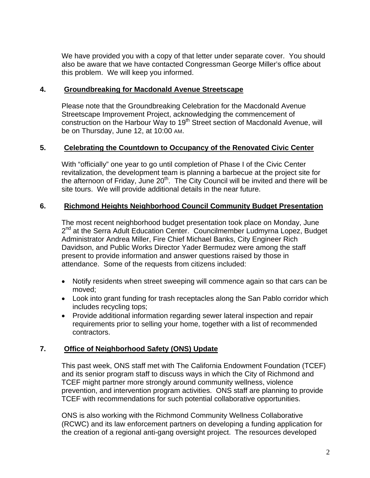We have provided you with a copy of that letter under separate cover. You should also be aware that we have contacted Congressman George Miller's office about this problem. We will keep you informed.

#### **4. Groundbreaking for Macdonald Avenue Streetscape**

Please note that the Groundbreaking Celebration for the Macdonald Avenue Streetscape Improvement Project, acknowledging the commencement of construction on the Harbour Way to 19<sup>th</sup> Street section of Macdonald Avenue, will be on Thursday, June 12, at 10:00 AM.

# **5. Celebrating the Countdown to Occupancy of the Renovated Civic Center**

With "officially" one year to go until completion of Phase I of the Civic Center revitalization, the development team is planning a barbecue at the project site for the afternoon of Friday, June  $20<sup>th</sup>$ . The City Council will be invited and there will be site tours. We will provide additional details in the near future.

# **6. Richmond Heights Neighborhood Council Community Budget Presentation**

The most recent neighborhood budget presentation took place on Monday, June 2<sup>nd</sup> at the Serra Adult Education Center. Councilmember Ludmyrna Lopez, Budget Administrator Andrea Miller, Fire Chief Michael Banks, City Engineer Rich Davidson, and Public Works Director Yader Bermudez were among the staff present to provide information and answer questions raised by those in attendance. Some of the requests from citizens included:

- Notify residents when street sweeping will commence again so that cars can be moved;
- Look into grant funding for trash receptacles along the San Pablo corridor which includes recycling tops;
- Provide additional information regarding sewer lateral inspection and repair requirements prior to selling your home, together with a list of recommended contractors.

# **7. Office of Neighborhood Safety (ONS) Update**

This past week, ONS staff met with The California Endowment Foundation (TCEF) and its senior program staff to discuss ways in which the City of Richmond and TCEF might partner more strongly around community wellness, violence prevention, and intervention program activities. ONS staff are planning to provide TCEF with recommendations for such potential collaborative opportunities.

ONS is also working with the Richmond Community Wellness Collaborative (RCWC) and its law enforcement partners on developing a funding application for the creation of a regional anti-gang oversight project. The resources developed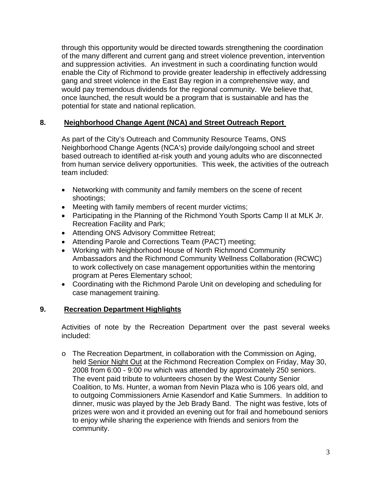through this opportunity would be directed towards strengthening the coordination of the many different and current gang and street violence prevention, intervention and suppression activities. An investment in such a coordinating function would enable the City of Richmond to provide greater leadership in effectively addressing gang and street violence in the East Bay region in a comprehensive way, and would pay tremendous dividends for the regional community. We believe that, once launched, the result would be a program that is sustainable and has the potential for state and national replication.

# **8. Neighborhood Change Agent (NCA) and Street Outreach Report**

As part of the City's Outreach and Community Resource Teams, ONS Neighborhood Change Agents (NCA's) provide daily/ongoing school and street based outreach to identified at-risk youth and young adults who are disconnected from human service delivery opportunities. This week, the activities of the outreach team included:

- Networking with community and family members on the scene of recent shootings;
- Meeting with family members of recent murder victims;
- Participating in the Planning of the Richmond Youth Sports Camp II at MLK Jr. Recreation Facility and Park;
- Attending ONS Advisory Committee Retreat;
- Attending Parole and Corrections Team (PACT) meeting;
- Working with Neighborhood House of North Richmond Community Ambassadors and the Richmond Community Wellness Collaboration (RCWC) to work collectively on case management opportunities within the mentoring program at Peres Elementary school;
- Coordinating with the Richmond Parole Unit on developing and scheduling for case management training.

#### **9. Recreation Department Highlights**

Activities of note by the Recreation Department over the past several weeks included:

o The Recreation Department, in collaboration with the Commission on Aging, held Senior Night Out at the Richmond Recreation Complex on Friday, May 30, 2008 from 6:00 - 9:00 PM which was attended by approximately 250 seniors. The event paid tribute to volunteers chosen by the West County Senior Coalition, to Ms. Hunter, a woman from Nevin Plaza who is 106 years old, and to outgoing Commissioners Arnie Kasendorf and Katie Summers. In addition to dinner, music was played by the Jeb Brady Band. The night was festive, lots of prizes were won and it provided an evening out for frail and homebound seniors to enjoy while sharing the experience with friends and seniors from the community.